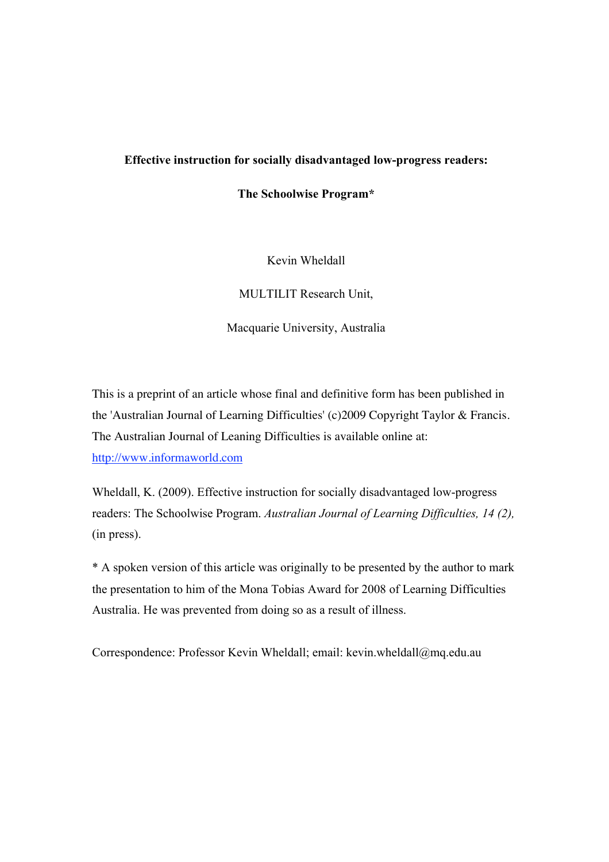## **Effective instruction for socially disadvantaged low-progress readers:**

**The Schoolwise Program\***

Kevin Wheldall

MULTILIT Research Unit,

Macquarie University, Australia

This is a preprint of an article whose final and definitive form has been published in the 'Australian Journal of Learning Difficulties' (c)2009 Copyright Taylor & Francis. The Australian Journal of Leaning Difficulties is available online at: http://www.informaworld.com

Wheldall, K. (2009). Effective instruction for socially disadvantaged low-progress readers: The Schoolwise Program. *Australian Journal of Learning Difficulties, 14 (2),*  (in press).

\* A spoken version of this article was originally to be presented by the author to mark the presentation to him of the Mona Tobias Award for 2008 of Learning Difficulties Australia. He was prevented from doing so as a result of illness.

Correspondence: Professor Kevin Wheldall; email: kevin.wheldall@mq.edu.au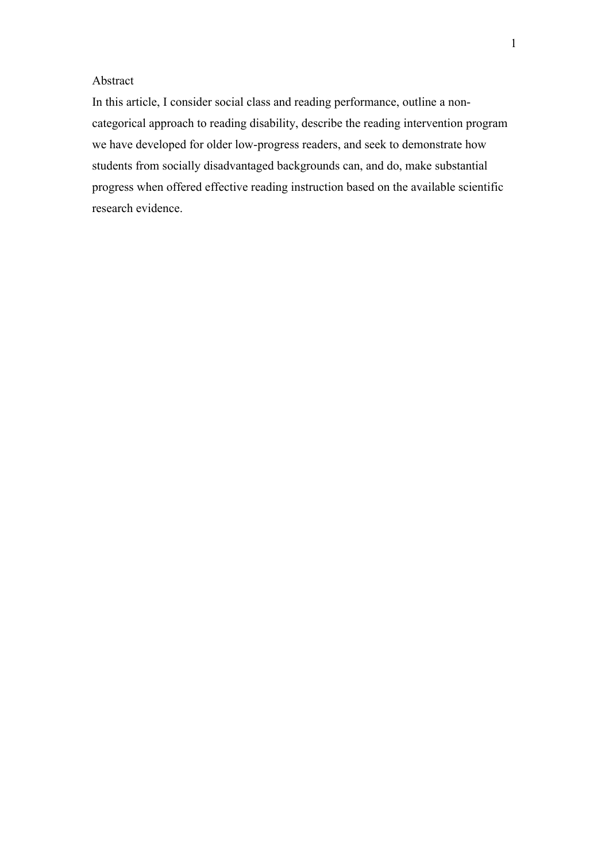## Abstract

In this article, I consider social class and reading performance, outline a noncategorical approach to reading disability, describe the reading intervention program we have developed for older low-progress readers, and seek to demonstrate how students from socially disadvantaged backgrounds can, and do, make substantial progress when offered effective reading instruction based on the available scientific research evidence.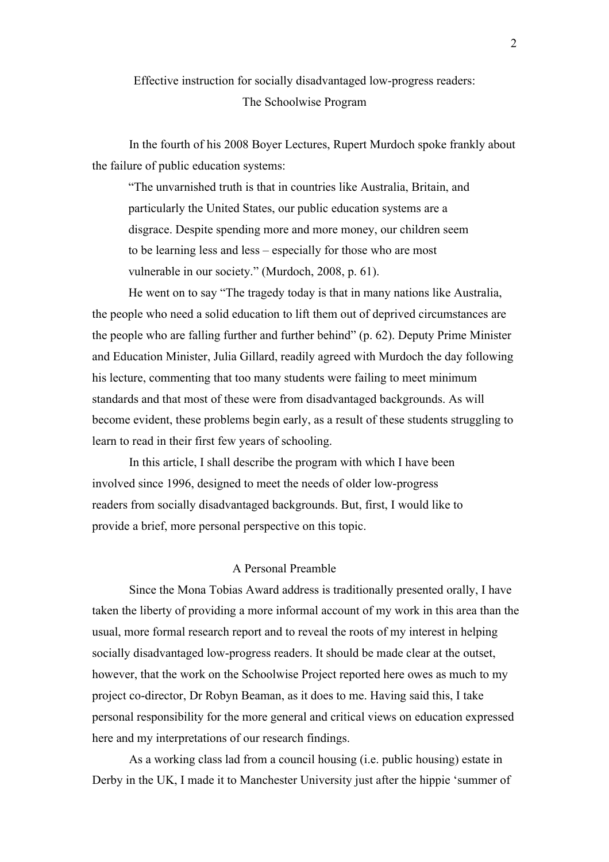# Effective instruction for socially disadvantaged low-progress readers: The Schoolwise Program

In the fourth of his 2008 Boyer Lectures, Rupert Murdoch spoke frankly about the failure of public education systems:

"The unvarnished truth is that in countries like Australia, Britain, and particularly the United States, our public education systems are a disgrace. Despite spending more and more money, our children seem to be learning less and less – especially for those who are most vulnerable in our society." (Murdoch, 2008, p. 61).

He went on to say "The tragedy today is that in many nations like Australia, the people who need a solid education to lift them out of deprived circumstances are the people who are falling further and further behind" (p. 62). Deputy Prime Minister and Education Minister, Julia Gillard, readily agreed with Murdoch the day following his lecture, commenting that too many students were failing to meet minimum standards and that most of these were from disadvantaged backgrounds. As will become evident, these problems begin early, as a result of these students struggling to learn to read in their first few years of schooling.

In this article, I shall describe the program with which I have been involved since 1996, designed to meet the needs of older low-progress readers from socially disadvantaged backgrounds. But, first, I would like to provide a brief, more personal perspective on this topic.

## A Personal Preamble

Since the Mona Tobias Award address is traditionally presented orally, I have taken the liberty of providing a more informal account of my work in this area than the usual, more formal research report and to reveal the roots of my interest in helping socially disadvantaged low-progress readers. It should be made clear at the outset, however, that the work on the Schoolwise Project reported here owes as much to my project co-director, Dr Robyn Beaman, as it does to me. Having said this, I take personal responsibility for the more general and critical views on education expressed here and my interpretations of our research findings.

As a working class lad from a council housing (i.e. public housing) estate in Derby in the UK, I made it to Manchester University just after the hippie 'summer of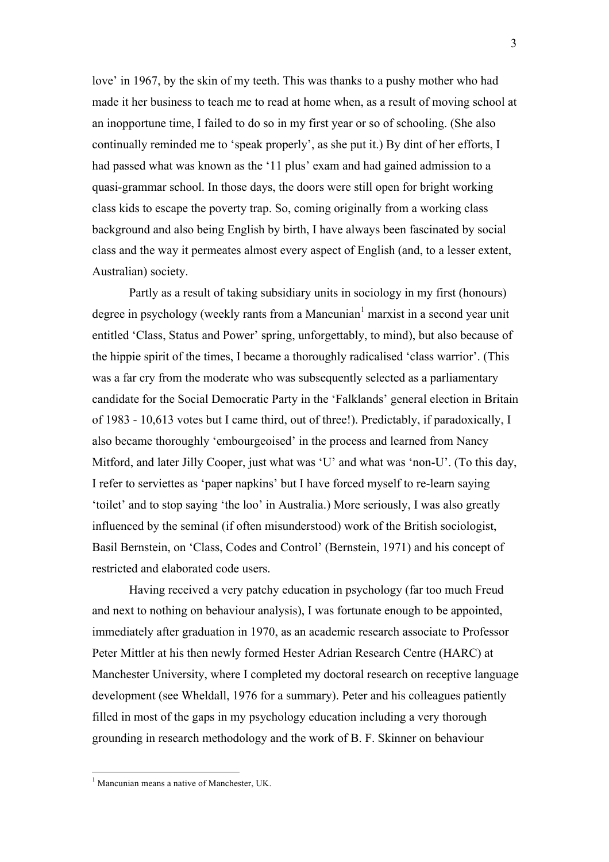love' in 1967, by the skin of my teeth. This was thanks to a pushy mother who had made it her business to teach me to read at home when, as a result of moving school at an inopportune time, I failed to do so in my first year or so of schooling. (She also continually reminded me to 'speak properly', as she put it.) By dint of her efforts, I had passed what was known as the '11 plus' exam and had gained admission to a quasi-grammar school. In those days, the doors were still open for bright working class kids to escape the poverty trap. So, coming originally from a working class background and also being English by birth, I have always been fascinated by social class and the way it permeates almost every aspect of English (and, to a lesser extent, Australian) society.

Partly as a result of taking subsidiary units in sociology in my first (honours) degree in psychology (weekly rants from a Mancunian<sup>1</sup> marxist in a second year unit entitled 'Class, Status and Power' spring, unforgettably, to mind), but also because of the hippie spirit of the times, I became a thoroughly radicalised 'class warrior'. (This was a far cry from the moderate who was subsequently selected as a parliamentary candidate for the Social Democratic Party in the 'Falklands' general election in Britain of 1983 - 10,613 votes but I came third, out of three!). Predictably, if paradoxically, I also became thoroughly 'embourgeoised' in the process and learned from Nancy Mitford, and later Jilly Cooper, just what was 'U' and what was 'non-U'. (To this day, I refer to serviettes as 'paper napkins' but I have forced myself to re-learn saying 'toilet' and to stop saying 'the loo' in Australia.) More seriously, I was also greatly influenced by the seminal (if often misunderstood) work of the British sociologist, Basil Bernstein, on 'Class, Codes and Control' (Bernstein, 1971) and his concept of restricted and elaborated code users.

Having received a very patchy education in psychology (far too much Freud and next to nothing on behaviour analysis), I was fortunate enough to be appointed, immediately after graduation in 1970, as an academic research associate to Professor Peter Mittler at his then newly formed Hester Adrian Research Centre (HARC) at Manchester University, where I completed my doctoral research on receptive language development (see Wheldall, 1976 for a summary). Peter and his colleagues patiently filled in most of the gaps in my psychology education including a very thorough grounding in research methodology and the work of B. F. Skinner on behaviour

 $<sup>1</sup>$  Mancunian means a native of Manchester, UK.</sup>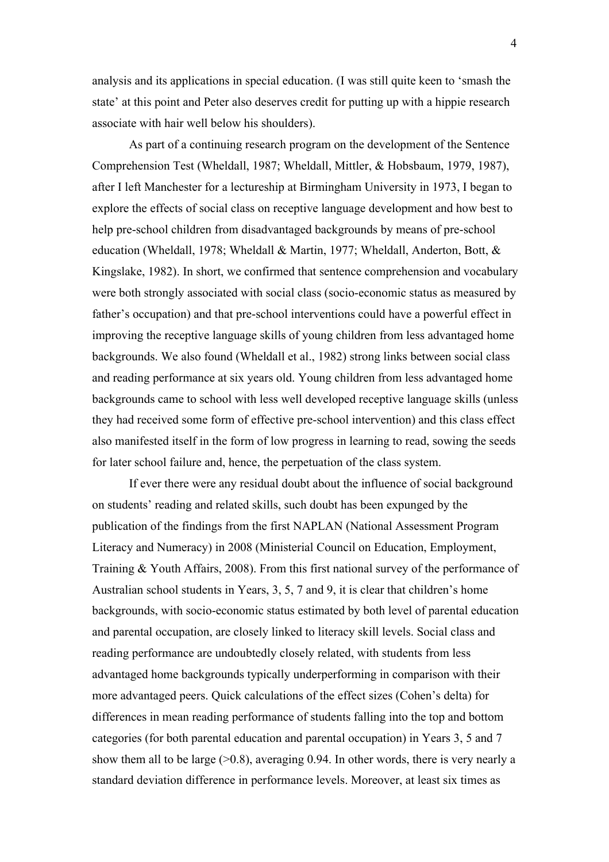analysis and its applications in special education. (I was still quite keen to 'smash the state' at this point and Peter also deserves credit for putting up with a hippie research associate with hair well below his shoulders).

As part of a continuing research program on the development of the Sentence Comprehension Test (Wheldall, 1987; Wheldall, Mittler, & Hobsbaum, 1979, 1987), after I left Manchester for a lectureship at Birmingham University in 1973, I began to explore the effects of social class on receptive language development and how best to help pre-school children from disadvantaged backgrounds by means of pre-school education (Wheldall, 1978; Wheldall & Martin, 1977; Wheldall, Anderton, Bott, & Kingslake, 1982). In short, we confirmed that sentence comprehension and vocabulary were both strongly associated with social class (socio-economic status as measured by father's occupation) and that pre-school interventions could have a powerful effect in improving the receptive language skills of young children from less advantaged home backgrounds. We also found (Wheldall et al., 1982) strong links between social class and reading performance at six years old. Young children from less advantaged home backgrounds came to school with less well developed receptive language skills (unless they had received some form of effective pre-school intervention) and this class effect also manifested itself in the form of low progress in learning to read, sowing the seeds for later school failure and, hence, the perpetuation of the class system.

If ever there were any residual doubt about the influence of social background on students' reading and related skills, such doubt has been expunged by the publication of the findings from the first NAPLAN (National Assessment Program Literacy and Numeracy) in 2008 (Ministerial Council on Education, Employment, Training & Youth Affairs, 2008). From this first national survey of the performance of Australian school students in Years, 3, 5, 7 and 9, it is clear that children's home backgrounds, with socio-economic status estimated by both level of parental education and parental occupation, are closely linked to literacy skill levels. Social class and reading performance are undoubtedly closely related, with students from less advantaged home backgrounds typically underperforming in comparison with their more advantaged peers. Quick calculations of the effect sizes (Cohen's delta) for differences in mean reading performance of students falling into the top and bottom categories (for both parental education and parental occupation) in Years 3, 5 and 7 show them all to be large  $(0.8)$ , averaging 0.94. In other words, there is very nearly a standard deviation difference in performance levels. Moreover, at least six times as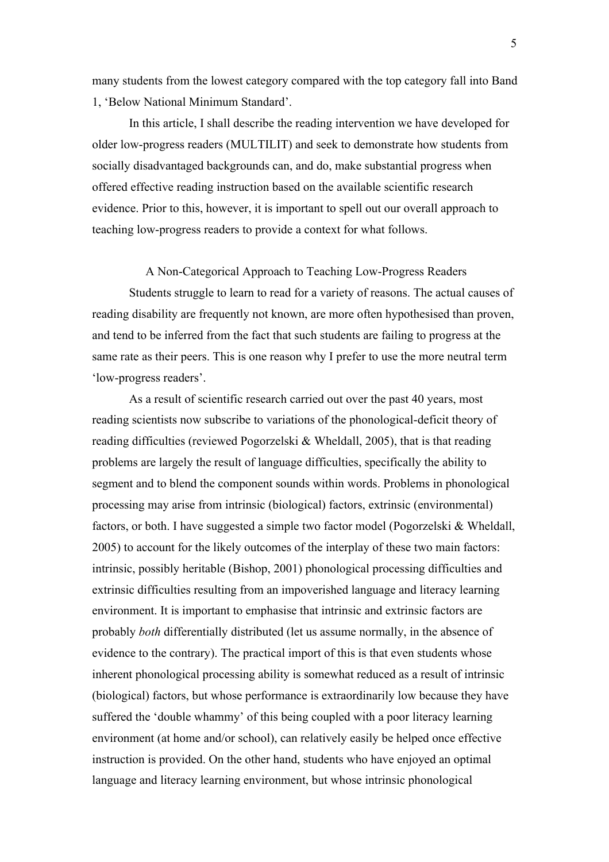many students from the lowest category compared with the top category fall into Band 1, 'Below National Minimum Standard'.

In this article, I shall describe the reading intervention we have developed for older low-progress readers (MULTILIT) and seek to demonstrate how students from socially disadvantaged backgrounds can, and do, make substantial progress when offered effective reading instruction based on the available scientific research evidence. Prior to this, however, it is important to spell out our overall approach to teaching low-progress readers to provide a context for what follows.

## A Non-Categorical Approach to Teaching Low-Progress Readers

Students struggle to learn to read for a variety of reasons. The actual causes of reading disability are frequently not known, are more often hypothesised than proven, and tend to be inferred from the fact that such students are failing to progress at the same rate as their peers. This is one reason why I prefer to use the more neutral term 'low-progress readers'.

As a result of scientific research carried out over the past 40 years, most reading scientists now subscribe to variations of the phonological-deficit theory of reading difficulties (reviewed Pogorzelski & Wheldall, 2005), that is that reading problems are largely the result of language difficulties, specifically the ability to segment and to blend the component sounds within words. Problems in phonological processing may arise from intrinsic (biological) factors, extrinsic (environmental) factors, or both. I have suggested a simple two factor model (Pogorzelski & Wheldall, 2005) to account for the likely outcomes of the interplay of these two main factors: intrinsic, possibly heritable (Bishop, 2001) phonological processing difficulties and extrinsic difficulties resulting from an impoverished language and literacy learning environment. It is important to emphasise that intrinsic and extrinsic factors are probably *both* differentially distributed (let us assume normally, in the absence of evidence to the contrary). The practical import of this is that even students whose inherent phonological processing ability is somewhat reduced as a result of intrinsic (biological) factors, but whose performance is extraordinarily low because they have suffered the 'double whammy' of this being coupled with a poor literacy learning environment (at home and/or school), can relatively easily be helped once effective instruction is provided. On the other hand, students who have enjoyed an optimal language and literacy learning environment, but whose intrinsic phonological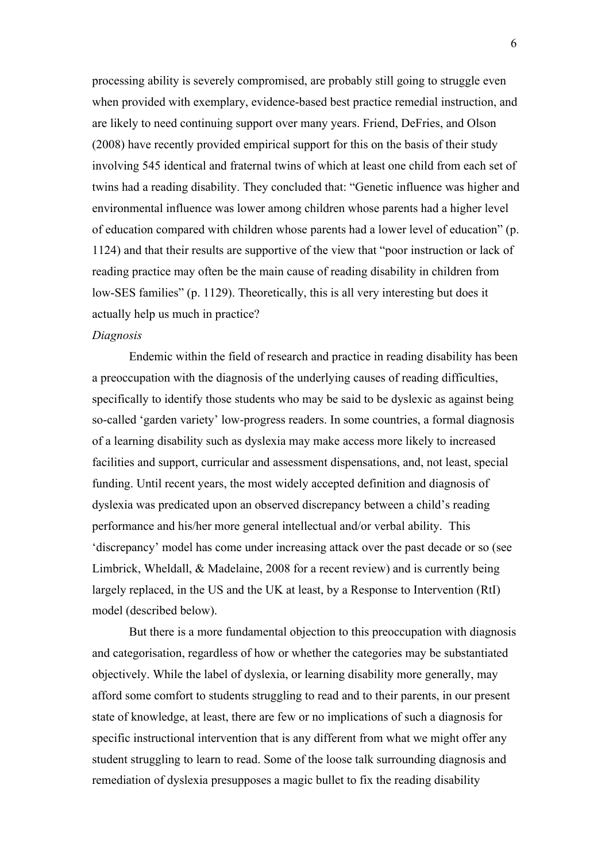processing ability is severely compromised, are probably still going to struggle even when provided with exemplary, evidence-based best practice remedial instruction, and are likely to need continuing support over many years. Friend, DeFries, and Olson (2008) have recently provided empirical support for this on the basis of their study involving 545 identical and fraternal twins of which at least one child from each set of twins had a reading disability. They concluded that: "Genetic influence was higher and environmental influence was lower among children whose parents had a higher level of education compared with children whose parents had a lower level of education" (p. 1124) and that their results are supportive of the view that "poor instruction or lack of reading practice may often be the main cause of reading disability in children from low-SES families" (p. 1129). Theoretically, this is all very interesting but does it actually help us much in practice?

#### *Diagnosis*

Endemic within the field of research and practice in reading disability has been a preoccupation with the diagnosis of the underlying causes of reading difficulties, specifically to identify those students who may be said to be dyslexic as against being so-called 'garden variety' low-progress readers. In some countries, a formal diagnosis of a learning disability such as dyslexia may make access more likely to increased facilities and support, curricular and assessment dispensations, and, not least, special funding. Until recent years, the most widely accepted definition and diagnosis of dyslexia was predicated upon an observed discrepancy between a child's reading performance and his/her more general intellectual and/or verbal ability. This 'discrepancy' model has come under increasing attack over the past decade or so (see Limbrick, Wheldall, & Madelaine, 2008 for a recent review) and is currently being largely replaced, in the US and the UK at least, by a Response to Intervention (RtI) model (described below).

But there is a more fundamental objection to this preoccupation with diagnosis and categorisation, regardless of how or whether the categories may be substantiated objectively. While the label of dyslexia, or learning disability more generally, may afford some comfort to students struggling to read and to their parents, in our present state of knowledge, at least, there are few or no implications of such a diagnosis for specific instructional intervention that is any different from what we might offer any student struggling to learn to read. Some of the loose talk surrounding diagnosis and remediation of dyslexia presupposes a magic bullet to fix the reading disability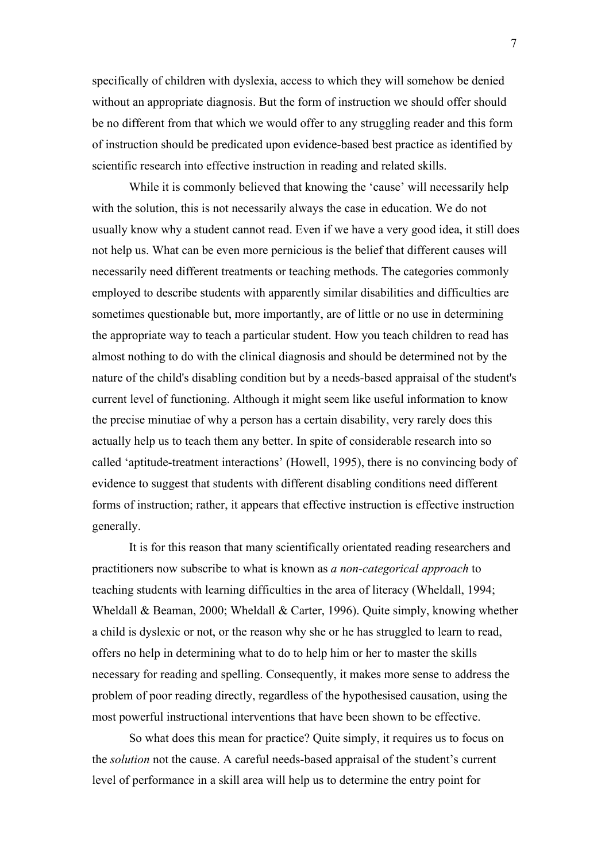specifically of children with dyslexia, access to which they will somehow be denied without an appropriate diagnosis. But the form of instruction we should offer should be no different from that which we would offer to any struggling reader and this form of instruction should be predicated upon evidence-based best practice as identified by scientific research into effective instruction in reading and related skills.

While it is commonly believed that knowing the 'cause' will necessarily help with the solution, this is not necessarily always the case in education. We do not usually know why a student cannot read. Even if we have a very good idea, it still does not help us. What can be even more pernicious is the belief that different causes will necessarily need different treatments or teaching methods. The categories commonly employed to describe students with apparently similar disabilities and difficulties are sometimes questionable but, more importantly, are of little or no use in determining the appropriate way to teach a particular student. How you teach children to read has almost nothing to do with the clinical diagnosis and should be determined not by the nature of the child's disabling condition but by a needs-based appraisal of the student's current level of functioning. Although it might seem like useful information to know the precise minutiae of why a person has a certain disability, very rarely does this actually help us to teach them any better. In spite of considerable research into so called 'aptitude-treatment interactions' (Howell, 1995), there is no convincing body of evidence to suggest that students with different disabling conditions need different forms of instruction; rather, it appears that effective instruction is effective instruction generally.

It is for this reason that many scientifically orientated reading researchers and practitioners now subscribe to what is known as *a non-categorical approach* to teaching students with learning difficulties in the area of literacy (Wheldall, 1994; Wheldall & Beaman, 2000; Wheldall & Carter, 1996). Quite simply, knowing whether a child is dyslexic or not, or the reason why she or he has struggled to learn to read, offers no help in determining what to do to help him or her to master the skills necessary for reading and spelling. Consequently, it makes more sense to address the problem of poor reading directly, regardless of the hypothesised causation, using the most powerful instructional interventions that have been shown to be effective.

So what does this mean for practice? Quite simply, it requires us to focus on the *solution* not the cause. A careful needs-based appraisal of the student's current level of performance in a skill area will help us to determine the entry point for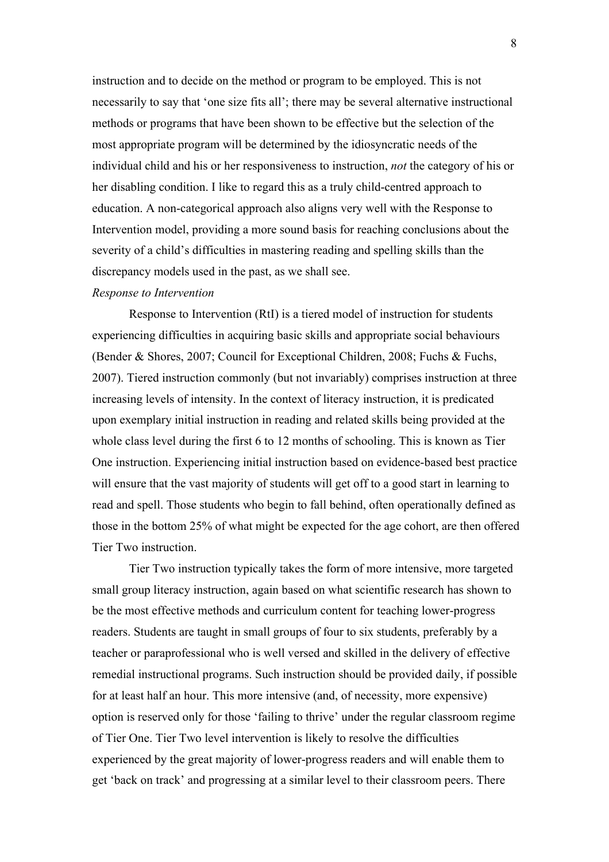instruction and to decide on the method or program to be employed. This is not necessarily to say that 'one size fits all'; there may be several alternative instructional methods or programs that have been shown to be effective but the selection of the most appropriate program will be determined by the idiosyncratic needs of the individual child and his or her responsiveness to instruction, *not* the category of his or her disabling condition. I like to regard this as a truly child-centred approach to education. A non-categorical approach also aligns very well with the Response to Intervention model, providing a more sound basis for reaching conclusions about the severity of a child's difficulties in mastering reading and spelling skills than the discrepancy models used in the past, as we shall see.

## *Response to Intervention*

Response to Intervention (RtI) is a tiered model of instruction for students experiencing difficulties in acquiring basic skills and appropriate social behaviours (Bender & Shores, 2007; Council for Exceptional Children, 2008; Fuchs & Fuchs, 2007). Tiered instruction commonly (but not invariably) comprises instruction at three increasing levels of intensity. In the context of literacy instruction, it is predicated upon exemplary initial instruction in reading and related skills being provided at the whole class level during the first 6 to 12 months of schooling. This is known as Tier One instruction. Experiencing initial instruction based on evidence-based best practice will ensure that the vast majority of students will get off to a good start in learning to read and spell. Those students who begin to fall behind, often operationally defined as those in the bottom 25% of what might be expected for the age cohort, are then offered Tier Two instruction.

Tier Two instruction typically takes the form of more intensive, more targeted small group literacy instruction, again based on what scientific research has shown to be the most effective methods and curriculum content for teaching lower-progress readers. Students are taught in small groups of four to six students, preferably by a teacher or paraprofessional who is well versed and skilled in the delivery of effective remedial instructional programs. Such instruction should be provided daily, if possible for at least half an hour. This more intensive (and, of necessity, more expensive) option is reserved only for those 'failing to thrive' under the regular classroom regime of Tier One. Tier Two level intervention is likely to resolve the difficulties experienced by the great majority of lower-progress readers and will enable them to get 'back on track' and progressing at a similar level to their classroom peers. There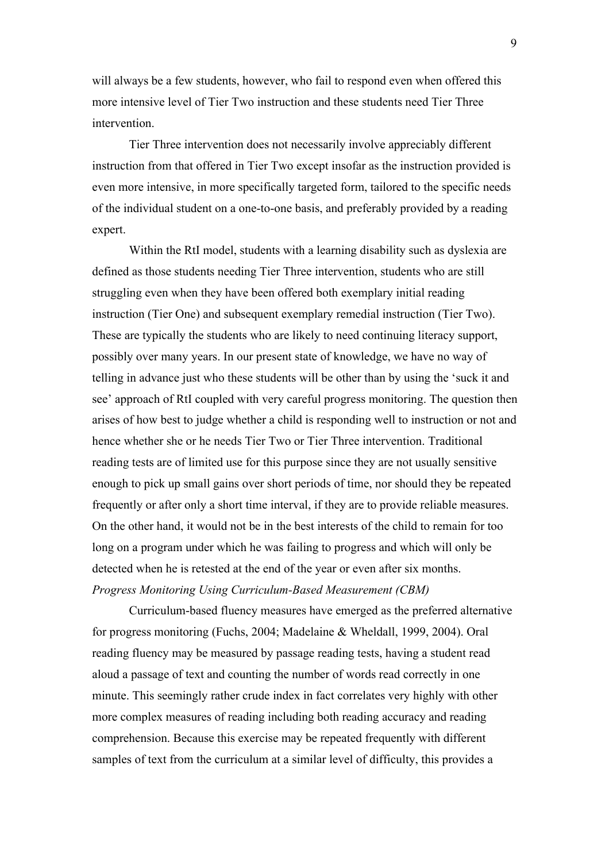will always be a few students, however, who fail to respond even when offered this more intensive level of Tier Two instruction and these students need Tier Three intervention.

Tier Three intervention does not necessarily involve appreciably different instruction from that offered in Tier Two except insofar as the instruction provided is even more intensive, in more specifically targeted form, tailored to the specific needs of the individual student on a one-to-one basis, and preferably provided by a reading expert.

Within the RtI model, students with a learning disability such as dyslexia are defined as those students needing Tier Three intervention, students who are still struggling even when they have been offered both exemplary initial reading instruction (Tier One) and subsequent exemplary remedial instruction (Tier Two). These are typically the students who are likely to need continuing literacy support, possibly over many years. In our present state of knowledge, we have no way of telling in advance just who these students will be other than by using the 'suck it and see' approach of RtI coupled with very careful progress monitoring. The question then arises of how best to judge whether a child is responding well to instruction or not and hence whether she or he needs Tier Two or Tier Three intervention. Traditional reading tests are of limited use for this purpose since they are not usually sensitive enough to pick up small gains over short periods of time, nor should they be repeated frequently or after only a short time interval, if they are to provide reliable measures. On the other hand, it would not be in the best interests of the child to remain for too long on a program under which he was failing to progress and which will only be detected when he is retested at the end of the year or even after six months. *Progress Monitoring Using Curriculum-Based Measurement (CBM)*

Curriculum-based fluency measures have emerged as the preferred alternative for progress monitoring (Fuchs, 2004; Madelaine & Wheldall, 1999, 2004). Oral reading fluency may be measured by passage reading tests, having a student read aloud a passage of text and counting the number of words read correctly in one minute. This seemingly rather crude index in fact correlates very highly with other more complex measures of reading including both reading accuracy and reading comprehension. Because this exercise may be repeated frequently with different samples of text from the curriculum at a similar level of difficulty, this provides a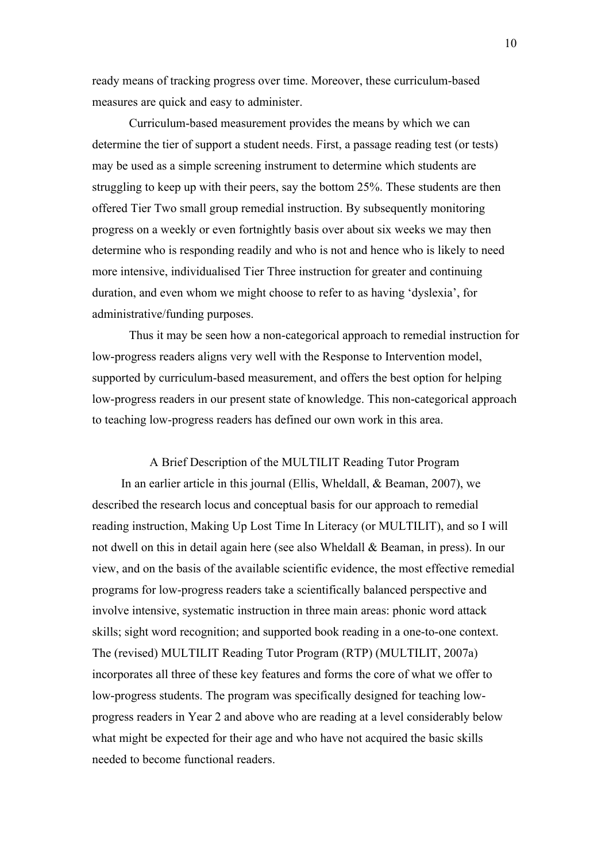ready means of tracking progress over time. Moreover, these curriculum-based measures are quick and easy to administer.

Curriculum-based measurement provides the means by which we can determine the tier of support a student needs. First, a passage reading test (or tests) may be used as a simple screening instrument to determine which students are struggling to keep up with their peers, say the bottom 25%. These students are then offered Tier Two small group remedial instruction. By subsequently monitoring progress on a weekly or even fortnightly basis over about six weeks we may then determine who is responding readily and who is not and hence who is likely to need more intensive, individualised Tier Three instruction for greater and continuing duration, and even whom we might choose to refer to as having 'dyslexia', for administrative/funding purposes.

Thus it may be seen how a non-categorical approach to remedial instruction for low-progress readers aligns very well with the Response to Intervention model, supported by curriculum-based measurement, and offers the best option for helping low-progress readers in our present state of knowledge. This non-categorical approach to teaching low-progress readers has defined our own work in this area.

A Brief Description of the MULTILIT Reading Tutor Program In an earlier article in this journal (Ellis, Wheldall, & Beaman, 2007), we described the research locus and conceptual basis for our approach to remedial reading instruction, Making Up Lost Time In Literacy (or MULTILIT), and so I will not dwell on this in detail again here (see also Wheldall & Beaman, in press). In our view, and on the basis of the available scientific evidence, the most effective remedial programs for low-progress readers take a scientifically balanced perspective and involve intensive, systematic instruction in three main areas: phonic word attack skills; sight word recognition; and supported book reading in a one-to-one context. The (revised) MULTILIT Reading Tutor Program (RTP) (MULTILIT, 2007a) incorporates all three of these key features and forms the core of what we offer to low-progress students. The program was specifically designed for teaching lowprogress readers in Year 2 and above who are reading at a level considerably below what might be expected for their age and who have not acquired the basic skills needed to become functional readers.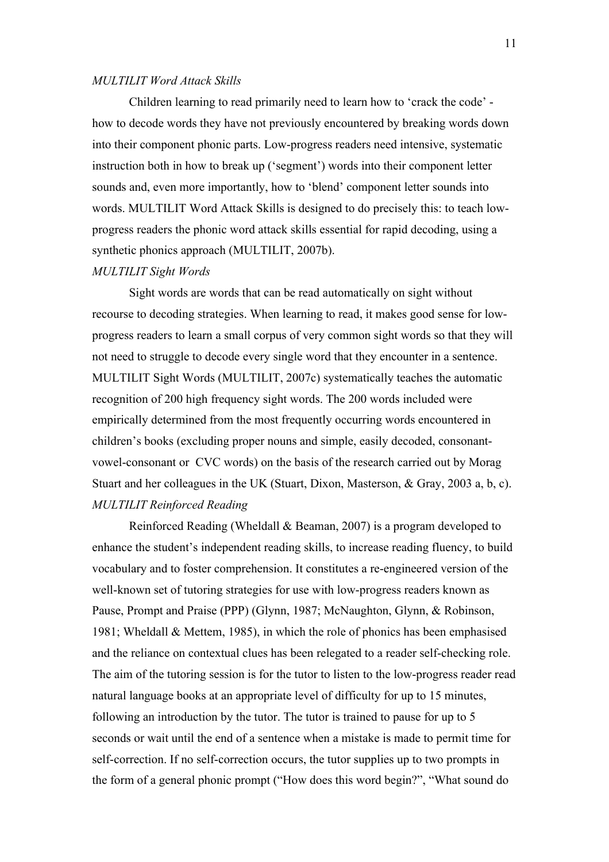## *MULTILIT Word Attack Skills*

Children learning to read primarily need to learn how to 'crack the code' how to decode words they have not previously encountered by breaking words down into their component phonic parts. Low-progress readers need intensive, systematic instruction both in how to break up ('segment') words into their component letter sounds and, even more importantly, how to 'blend' component letter sounds into words. MULTILIT Word Attack Skills is designed to do precisely this: to teach lowprogress readers the phonic word attack skills essential for rapid decoding, using a synthetic phonics approach (MULTILIT, 2007b).

## *MULTILIT Sight Words*

Sight words are words that can be read automatically on sight without recourse to decoding strategies. When learning to read, it makes good sense for lowprogress readers to learn a small corpus of very common sight words so that they will not need to struggle to decode every single word that they encounter in a sentence. MULTILIT Sight Words (MULTILIT, 2007c) systematically teaches the automatic recognition of 200 high frequency sight words. The 200 words included were empirically determined from the most frequently occurring words encountered in children's books (excluding proper nouns and simple, easily decoded, consonantvowel-consonant or CVC words) on the basis of the research carried out by Morag Stuart and her colleagues in the UK (Stuart, Dixon, Masterson, & Gray, 2003 a, b, c). *MULTILIT Reinforced Reading*

Reinforced Reading (Wheldall & Beaman, 2007) is a program developed to enhance the student's independent reading skills, to increase reading fluency, to build vocabulary and to foster comprehension. It constitutes a re-engineered version of the well-known set of tutoring strategies for use with low-progress readers known as Pause, Prompt and Praise (PPP) (Glynn, 1987; McNaughton, Glynn, & Robinson, 1981; Wheldall & Mettem, 1985), in which the role of phonics has been emphasised and the reliance on contextual clues has been relegated to a reader self-checking role. The aim of the tutoring session is for the tutor to listen to the low-progress reader read natural language books at an appropriate level of difficulty for up to 15 minutes, following an introduction by the tutor. The tutor is trained to pause for up to 5 seconds or wait until the end of a sentence when a mistake is made to permit time for self-correction. If no self-correction occurs, the tutor supplies up to two prompts in the form of a general phonic prompt ("How does this word begin?", "What sound do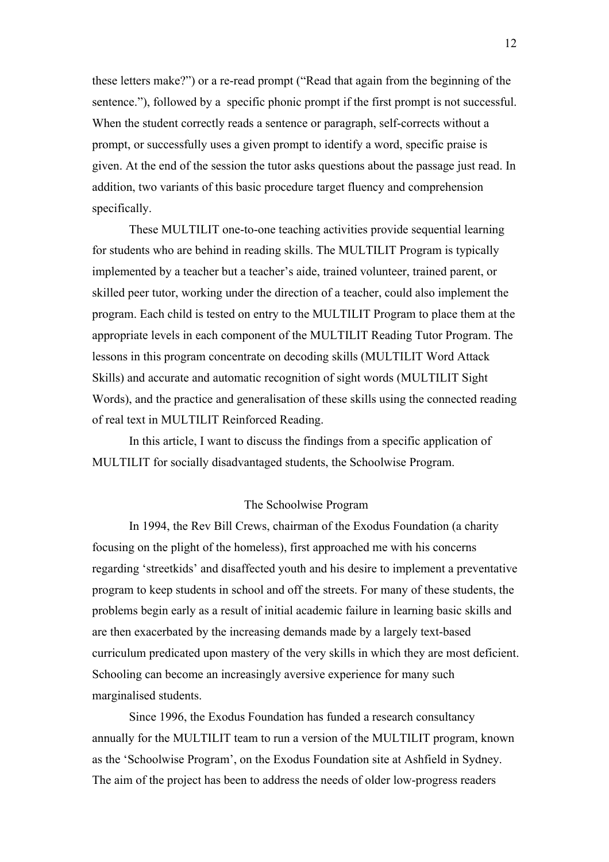these letters make?") or a re-read prompt ("Read that again from the beginning of the sentence."), followed by a specific phonic prompt if the first prompt is not successful. When the student correctly reads a sentence or paragraph, self-corrects without a prompt, or successfully uses a given prompt to identify a word, specific praise is given. At the end of the session the tutor asks questions about the passage just read. In addition, two variants of this basic procedure target fluency and comprehension specifically.

These MULTILIT one-to-one teaching activities provide sequential learning for students who are behind in reading skills. The MULTILIT Program is typically implemented by a teacher but a teacher's aide, trained volunteer, trained parent, or skilled peer tutor, working under the direction of a teacher, could also implement the program. Each child is tested on entry to the MULTILIT Program to place them at the appropriate levels in each component of the MULTILIT Reading Tutor Program. The lessons in this program concentrate on decoding skills (MULTILIT Word Attack Skills) and accurate and automatic recognition of sight words (MULTILIT Sight Words), and the practice and generalisation of these skills using the connected reading of real text in MULTILIT Reinforced Reading.

In this article, I want to discuss the findings from a specific application of MULTILIT for socially disadvantaged students, the Schoolwise Program.

## The Schoolwise Program

In 1994, the Rev Bill Crews, chairman of the Exodus Foundation (a charity focusing on the plight of the homeless), first approached me with his concerns regarding 'streetkids' and disaffected youth and his desire to implement a preventative program to keep students in school and off the streets. For many of these students, the problems begin early as a result of initial academic failure in learning basic skills and are then exacerbated by the increasing demands made by a largely text-based curriculum predicated upon mastery of the very skills in which they are most deficient. Schooling can become an increasingly aversive experience for many such marginalised students.

Since 1996, the Exodus Foundation has funded a research consultancy annually for the MULTILIT team to run a version of the MULTILIT program, known as the 'Schoolwise Program', on the Exodus Foundation site at Ashfield in Sydney. The aim of the project has been to address the needs of older low-progress readers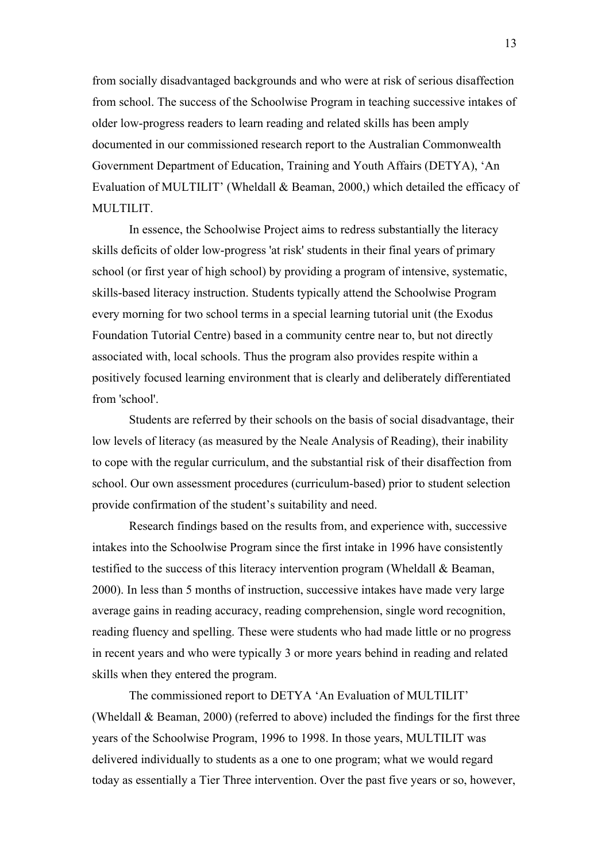from socially disadvantaged backgrounds and who were at risk of serious disaffection from school. The success of the Schoolwise Program in teaching successive intakes of older low-progress readers to learn reading and related skills has been amply documented in our commissioned research report to the Australian Commonwealth Government Department of Education, Training and Youth Affairs (DETYA), 'An Evaluation of MULTILIT' (Wheldall & Beaman, 2000,) which detailed the efficacy of MULTILIT.

In essence, the Schoolwise Project aims to redress substantially the literacy skills deficits of older low-progress 'at risk' students in their final years of primary school (or first year of high school) by providing a program of intensive, systematic, skills-based literacy instruction. Students typically attend the Schoolwise Program every morning for two school terms in a special learning tutorial unit (the Exodus Foundation Tutorial Centre) based in a community centre near to, but not directly associated with, local schools. Thus the program also provides respite within a positively focused learning environment that is clearly and deliberately differentiated from 'school'.

Students are referred by their schools on the basis of social disadvantage, their low levels of literacy (as measured by the Neale Analysis of Reading), their inability to cope with the regular curriculum, and the substantial risk of their disaffection from school. Our own assessment procedures (curriculum-based) prior to student selection provide confirmation of the student's suitability and need.

Research findings based on the results from, and experience with, successive intakes into the Schoolwise Program since the first intake in 1996 have consistently testified to the success of this literacy intervention program (Wheldall & Beaman, 2000). In less than 5 months of instruction, successive intakes have made very large average gains in reading accuracy, reading comprehension, single word recognition, reading fluency and spelling. These were students who had made little or no progress in recent years and who were typically 3 or more years behind in reading and related skills when they entered the program.

The commissioned report to DETYA 'An Evaluation of MULTILIT' (Wheldall & Beaman, 2000) (referred to above) included the findings for the first three years of the Schoolwise Program, 1996 to 1998. In those years, MULTILIT was delivered individually to students as a one to one program; what we would regard today as essentially a Tier Three intervention. Over the past five years or so, however,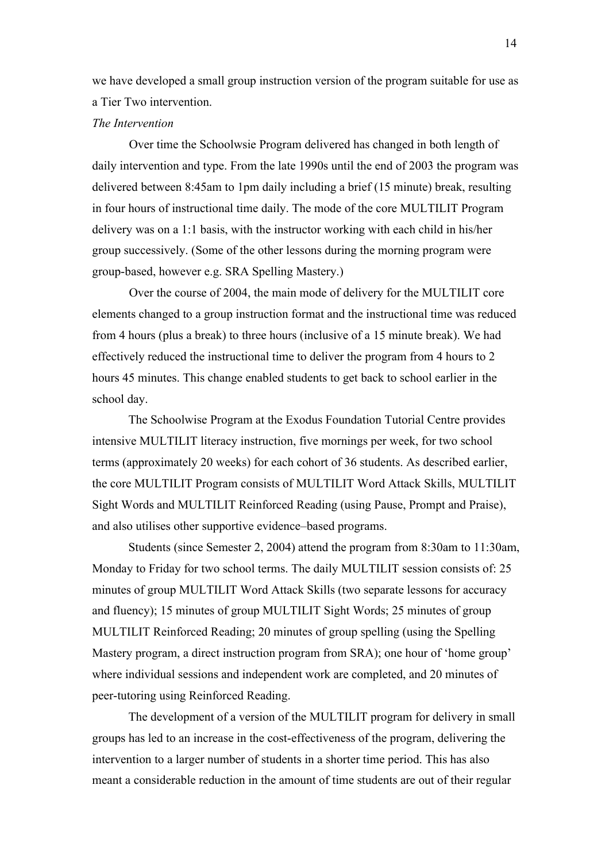we have developed a small group instruction version of the program suitable for use as a Tier Two intervention.

## *The Intervention*

Over time the Schoolwsie Program delivered has changed in both length of daily intervention and type. From the late 1990s until the end of 2003 the program was delivered between 8:45am to 1pm daily including a brief (15 minute) break, resulting in four hours of instructional time daily. The mode of the core MULTILIT Program delivery was on a 1:1 basis, with the instructor working with each child in his/her group successively. (Some of the other lessons during the morning program were group-based, however e.g. SRA Spelling Mastery.)

Over the course of 2004, the main mode of delivery for the MULTILIT core elements changed to a group instruction format and the instructional time was reduced from 4 hours (plus a break) to three hours (inclusive of a 15 minute break). We had effectively reduced the instructional time to deliver the program from 4 hours to 2 hours 45 minutes. This change enabled students to get back to school earlier in the school day.

The Schoolwise Program at the Exodus Foundation Tutorial Centre provides intensive MULTILIT literacy instruction, five mornings per week, for two school terms (approximately 20 weeks) for each cohort of 36 students. As described earlier, the core MULTILIT Program consists of MULTILIT Word Attack Skills, MULTILIT Sight Words and MULTILIT Reinforced Reading (using Pause, Prompt and Praise), and also utilises other supportive evidence–based programs.

Students (since Semester 2, 2004) attend the program from 8:30am to 11:30am, Monday to Friday for two school terms. The daily MULTILIT session consists of: 25 minutes of group MULTILIT Word Attack Skills (two separate lessons for accuracy and fluency); 15 minutes of group MULTILIT Sight Words; 25 minutes of group MULTILIT Reinforced Reading; 20 minutes of group spelling (using the Spelling Mastery program, a direct instruction program from SRA); one hour of 'home group' where individual sessions and independent work are completed, and 20 minutes of peer-tutoring using Reinforced Reading.

The development of a version of the MULTILIT program for delivery in small groups has led to an increase in the cost-effectiveness of the program, delivering the intervention to a larger number of students in a shorter time period. This has also meant a considerable reduction in the amount of time students are out of their regular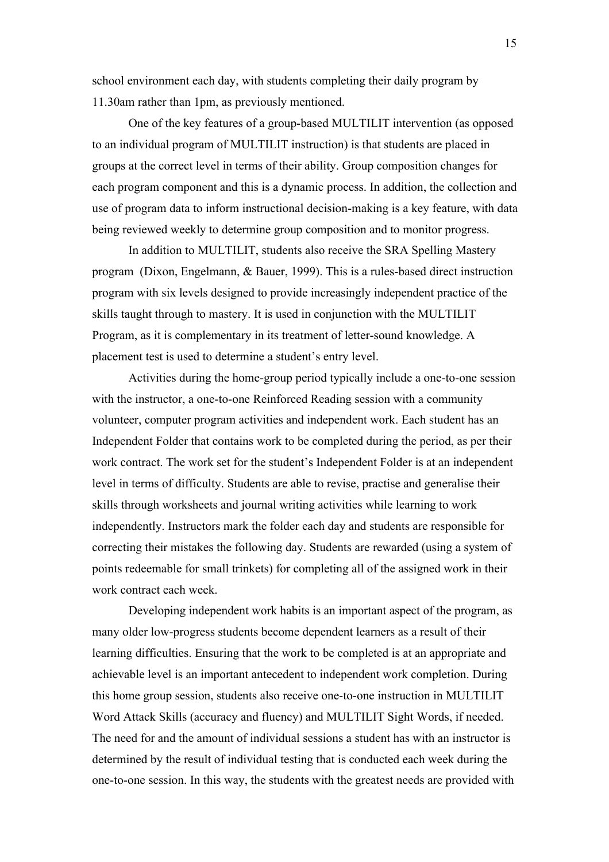school environment each day, with students completing their daily program by 11.30am rather than 1pm, as previously mentioned.

One of the key features of a group-based MULTILIT intervention (as opposed to an individual program of MULTILIT instruction) is that students are placed in groups at the correct level in terms of their ability. Group composition changes for each program component and this is a dynamic process. In addition, the collection and use of program data to inform instructional decision-making is a key feature, with data being reviewed weekly to determine group composition and to monitor progress.

In addition to MULTILIT, students also receive the SRA Spelling Mastery program (Dixon, Engelmann, & Bauer, 1999). This is a rules-based direct instruction program with six levels designed to provide increasingly independent practice of the skills taught through to mastery. It is used in conjunction with the MULTILIT Program, as it is complementary in its treatment of letter-sound knowledge. A placement test is used to determine a student's entry level.

Activities during the home-group period typically include a one-to-one session with the instructor, a one-to-one Reinforced Reading session with a community volunteer, computer program activities and independent work. Each student has an Independent Folder that contains work to be completed during the period, as per their work contract. The work set for the student's Independent Folder is at an independent level in terms of difficulty. Students are able to revise, practise and generalise their skills through worksheets and journal writing activities while learning to work independently. Instructors mark the folder each day and students are responsible for correcting their mistakes the following day. Students are rewarded (using a system of points redeemable for small trinkets) for completing all of the assigned work in their work contract each week.

Developing independent work habits is an important aspect of the program, as many older low-progress students become dependent learners as a result of their learning difficulties. Ensuring that the work to be completed is at an appropriate and achievable level is an important antecedent to independent work completion. During this home group session, students also receive one-to-one instruction in MULTILIT Word Attack Skills (accuracy and fluency) and MULTILIT Sight Words, if needed. The need for and the amount of individual sessions a student has with an instructor is determined by the result of individual testing that is conducted each week during the one-to-one session. In this way, the students with the greatest needs are provided with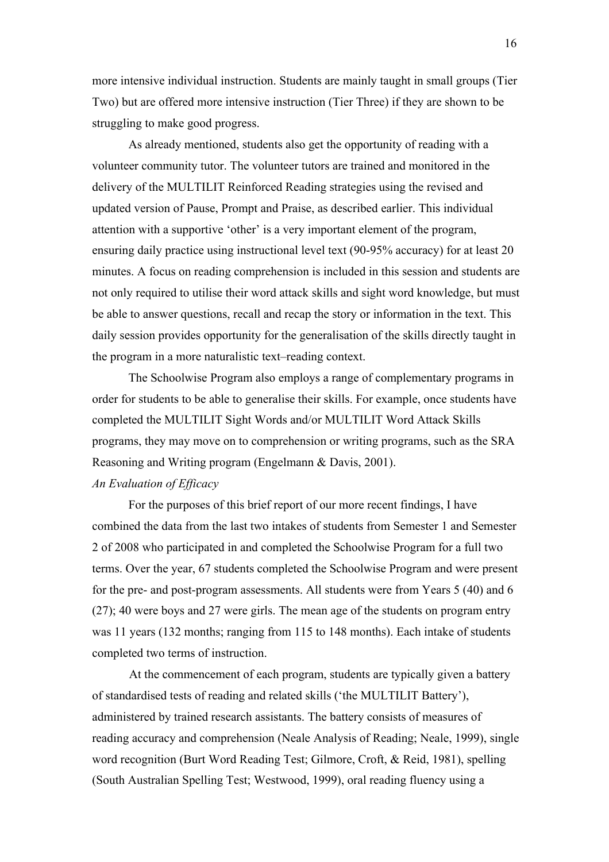more intensive individual instruction. Students are mainly taught in small groups (Tier Two) but are offered more intensive instruction (Tier Three) if they are shown to be struggling to make good progress.

As already mentioned, students also get the opportunity of reading with a volunteer community tutor. The volunteer tutors are trained and monitored in the delivery of the MULTILIT Reinforced Reading strategies using the revised and updated version of Pause, Prompt and Praise, as described earlier. This individual attention with a supportive 'other' is a very important element of the program, ensuring daily practice using instructional level text (90-95% accuracy) for at least 20 minutes. A focus on reading comprehension is included in this session and students are not only required to utilise their word attack skills and sight word knowledge, but must be able to answer questions, recall and recap the story or information in the text. This daily session provides opportunity for the generalisation of the skills directly taught in the program in a more naturalistic text–reading context.

The Schoolwise Program also employs a range of complementary programs in order for students to be able to generalise their skills. For example, once students have completed the MULTILIT Sight Words and/or MULTILIT Word Attack Skills programs, they may move on to comprehension or writing programs, such as the SRA Reasoning and Writing program (Engelmann & Davis, 2001). *An Evaluation of Efficacy*

For the purposes of this brief report of our more recent findings, I have combined the data from the last two intakes of students from Semester 1 and Semester 2 of 2008 who participated in and completed the Schoolwise Program for a full two terms. Over the year, 67 students completed the Schoolwise Program and were present for the pre- and post-program assessments. All students were from Years 5 (40) and 6 (27); 40 were boys and 27 were girls. The mean age of the students on program entry was 11 years (132 months; ranging from 115 to 148 months). Each intake of students completed two terms of instruction.

At the commencement of each program, students are typically given a battery of standardised tests of reading and related skills ('the MULTILIT Battery'), administered by trained research assistants. The battery consists of measures of reading accuracy and comprehension (Neale Analysis of Reading; Neale, 1999), single word recognition (Burt Word Reading Test; Gilmore, Croft, & Reid, 1981), spelling (South Australian Spelling Test; Westwood, 1999), oral reading fluency using a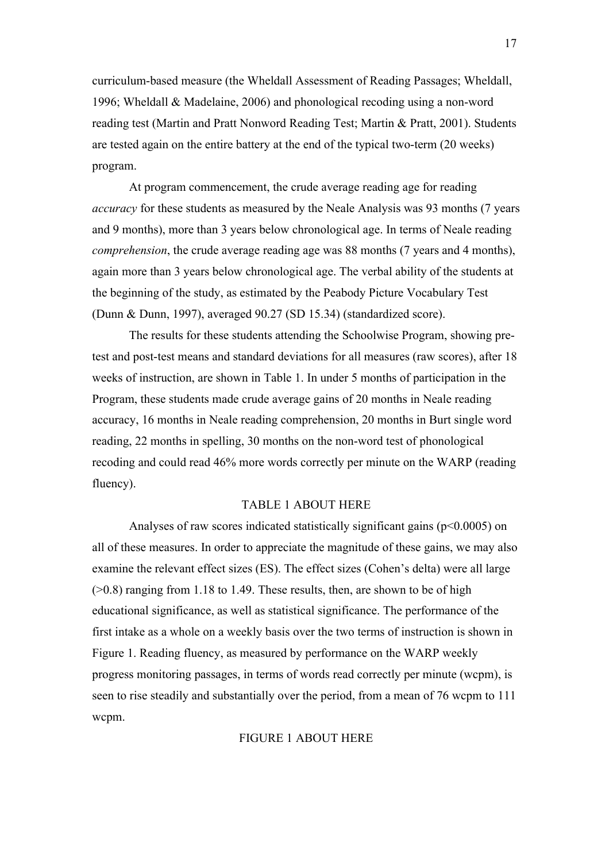curriculum-based measure (the Wheldall Assessment of Reading Passages; Wheldall, 1996; Wheldall & Madelaine, 2006) and phonological recoding using a non-word reading test (Martin and Pratt Nonword Reading Test; Martin & Pratt, 2001). Students are tested again on the entire battery at the end of the typical two-term (20 weeks) program.

At program commencement, the crude average reading age for reading *accuracy* for these students as measured by the Neale Analysis was 93 months (7 years) and 9 months), more than 3 years below chronological age. In terms of Neale reading *comprehension*, the crude average reading age was 88 months (7 years and 4 months), again more than 3 years below chronological age. The verbal ability of the students at the beginning of the study, as estimated by the Peabody Picture Vocabulary Test (Dunn & Dunn, 1997), averaged 90.27 (SD 15.34) (standardized score).

The results for these students attending the Schoolwise Program, showing pretest and post-test means and standard deviations for all measures (raw scores), after 18 weeks of instruction, are shown in Table 1. In under 5 months of participation in the Program, these students made crude average gains of 20 months in Neale reading accuracy, 16 months in Neale reading comprehension, 20 months in Burt single word reading, 22 months in spelling, 30 months on the non-word test of phonological recoding and could read 46% more words correctly per minute on the WARP (reading fluency).

## TABLE 1 ABOUT HERE

Analyses of raw scores indicated statistically significant gains ( $p<0.0005$ ) on all of these measures. In order to appreciate the magnitude of these gains, we may also examine the relevant effect sizes (ES). The effect sizes (Cohen's delta) were all large  $(0.8)$  ranging from 1.18 to 1.49. These results, then, are shown to be of high educational significance, as well as statistical significance. The performance of the first intake as a whole on a weekly basis over the two terms of instruction is shown in Figure 1. Reading fluency, as measured by performance on the WARP weekly progress monitoring passages, in terms of words read correctly per minute (wcpm), is seen to rise steadily and substantially over the period, from a mean of 76 wcpm to 111 wcpm.

#### FIGURE 1 ABOUT HERE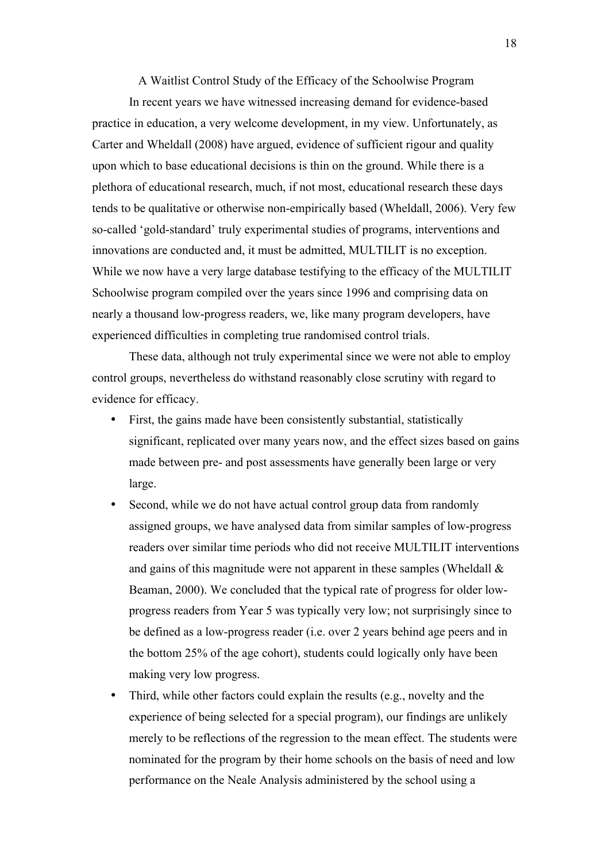A Waitlist Control Study of the Efficacy of the Schoolwise Program

In recent years we have witnessed increasing demand for evidence-based practice in education, a very welcome development, in my view. Unfortunately, as Carter and Wheldall (2008) have argued, evidence of sufficient rigour and quality upon which to base educational decisions is thin on the ground. While there is a plethora of educational research, much, if not most, educational research these days tends to be qualitative or otherwise non-empirically based (Wheldall, 2006). Very few so-called 'gold-standard' truly experimental studies of programs, interventions and innovations are conducted and, it must be admitted, MULTILIT is no exception. While we now have a very large database testifying to the efficacy of the MULTILIT Schoolwise program compiled over the years since 1996 and comprising data on nearly a thousand low-progress readers, we, like many program developers, have experienced difficulties in completing true randomised control trials.

These data, although not truly experimental since we were not able to employ control groups, nevertheless do withstand reasonably close scrutiny with regard to evidence for efficacy.

- First, the gains made have been consistently substantial, statistically significant, replicated over many years now, and the effect sizes based on gains made between pre- and post assessments have generally been large or very large.
- Second, while we do not have actual control group data from randomly assigned groups, we have analysed data from similar samples of low-progress readers over similar time periods who did not receive MULTILIT interventions and gains of this magnitude were not apparent in these samples (Wheldall  $\&$ Beaman, 2000). We concluded that the typical rate of progress for older lowprogress readers from Year 5 was typically very low; not surprisingly since to be defined as a low-progress reader (i.e. over 2 years behind age peers and in the bottom 25% of the age cohort), students could logically only have been making very low progress.
- Third, while other factors could explain the results (e.g., novelty and the experience of being selected for a special program), our findings are unlikely merely to be reflections of the regression to the mean effect. The students were nominated for the program by their home schools on the basis of need and low performance on the Neale Analysis administered by the school using a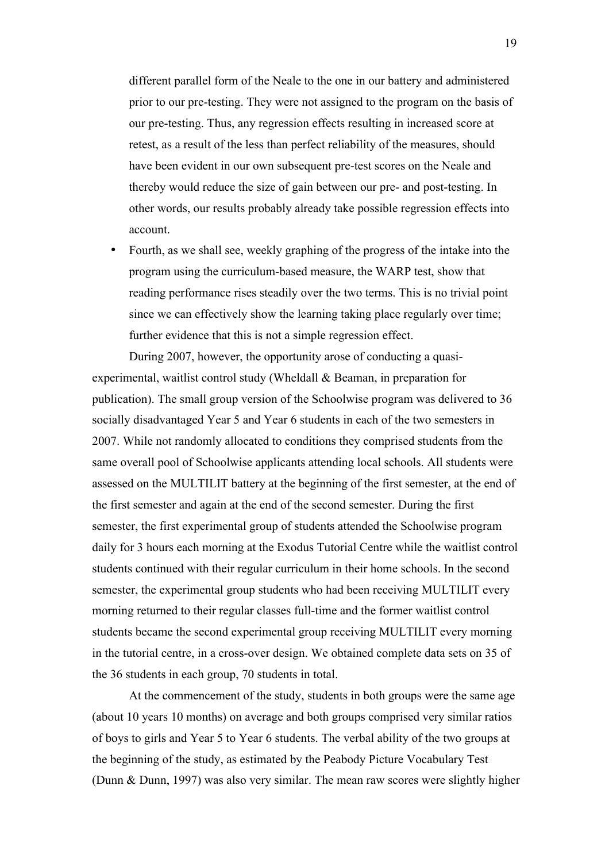different parallel form of the Neale to the one in our battery and administered prior to our pre-testing. They were not assigned to the program on the basis of our pre-testing. Thus, any regression effects resulting in increased score at retest, as a result of the less than perfect reliability of the measures, should have been evident in our own subsequent pre-test scores on the Neale and thereby would reduce the size of gain between our pre- and post-testing. In other words, our results probably already take possible regression effects into account.

• Fourth, as we shall see, weekly graphing of the progress of the intake into the program using the curriculum-based measure, the WARP test, show that reading performance rises steadily over the two terms. This is no trivial point since we can effectively show the learning taking place regularly over time; further evidence that this is not a simple regression effect.

During 2007, however, the opportunity arose of conducting a quasiexperimental, waitlist control study (Wheldall & Beaman, in preparation for publication). The small group version of the Schoolwise program was delivered to 36 socially disadvantaged Year 5 and Year 6 students in each of the two semesters in 2007. While not randomly allocated to conditions they comprised students from the same overall pool of Schoolwise applicants attending local schools. All students were assessed on the MULTILIT battery at the beginning of the first semester, at the end of the first semester and again at the end of the second semester. During the first semester, the first experimental group of students attended the Schoolwise program daily for 3 hours each morning at the Exodus Tutorial Centre while the waitlist control students continued with their regular curriculum in their home schools. In the second semester, the experimental group students who had been receiving MULTILIT every morning returned to their regular classes full-time and the former waitlist control students became the second experimental group receiving MULTILIT every morning in the tutorial centre, in a cross-over design. We obtained complete data sets on 35 of the 36 students in each group, 70 students in total.

At the commencement of the study, students in both groups were the same age (about 10 years 10 months) on average and both groups comprised very similar ratios of boys to girls and Year 5 to Year 6 students. The verbal ability of the two groups at the beginning of the study, as estimated by the Peabody Picture Vocabulary Test (Dunn & Dunn, 1997) was also very similar. The mean raw scores were slightly higher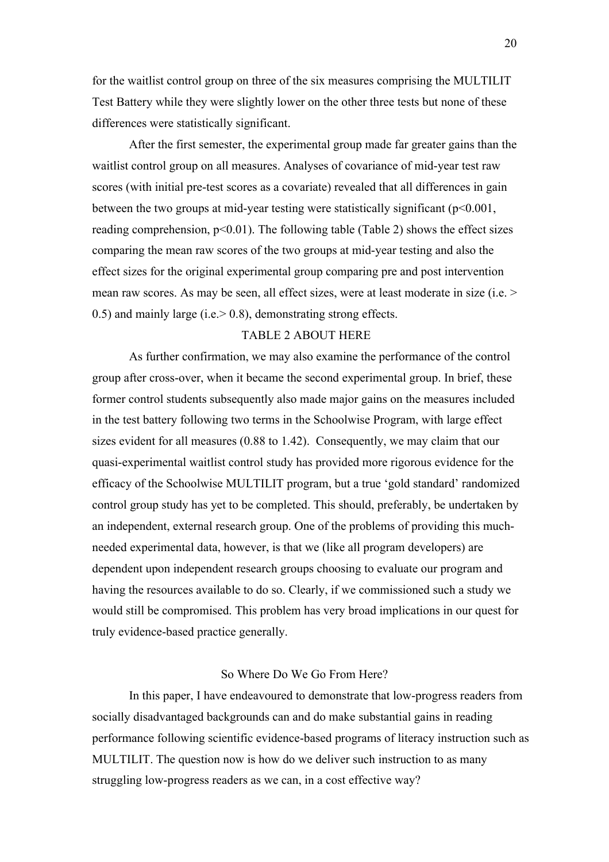for the waitlist control group on three of the six measures comprising the MULTILIT Test Battery while they were slightly lower on the other three tests but none of these differences were statistically significant.

After the first semester, the experimental group made far greater gains than the waitlist control group on all measures. Analyses of covariance of mid-year test raw scores (with initial pre-test scores as a covariate) revealed that all differences in gain between the two groups at mid-year testing were statistically significant  $(p<0.001$ , reading comprehension,  $p<0.01$ ). The following table (Table 2) shows the effect sizes comparing the mean raw scores of the two groups at mid-year testing and also the effect sizes for the original experimental group comparing pre and post intervention mean raw scores. As may be seen, all effect sizes, were at least moderate in size (i.e. > 0.5) and mainly large (i.e.> 0.8), demonstrating strong effects.

## TABLE 2 ABOUT HERE

As further confirmation, we may also examine the performance of the control group after cross-over, when it became the second experimental group. In brief, these former control students subsequently also made major gains on the measures included in the test battery following two terms in the Schoolwise Program, with large effect sizes evident for all measures (0.88 to 1.42). Consequently, we may claim that our quasi-experimental waitlist control study has provided more rigorous evidence for the efficacy of the Schoolwise MULTILIT program, but a true 'gold standard' randomized control group study has yet to be completed. This should, preferably, be undertaken by an independent, external research group. One of the problems of providing this muchneeded experimental data, however, is that we (like all program developers) are dependent upon independent research groups choosing to evaluate our program and having the resources available to do so. Clearly, if we commissioned such a study we would still be compromised. This problem has very broad implications in our quest for truly evidence-based practice generally.

## So Where Do We Go From Here?

In this paper, I have endeavoured to demonstrate that low-progress readers from socially disadvantaged backgrounds can and do make substantial gains in reading performance following scientific evidence-based programs of literacy instruction such as MULTILIT. The question now is how do we deliver such instruction to as many struggling low-progress readers as we can, in a cost effective way?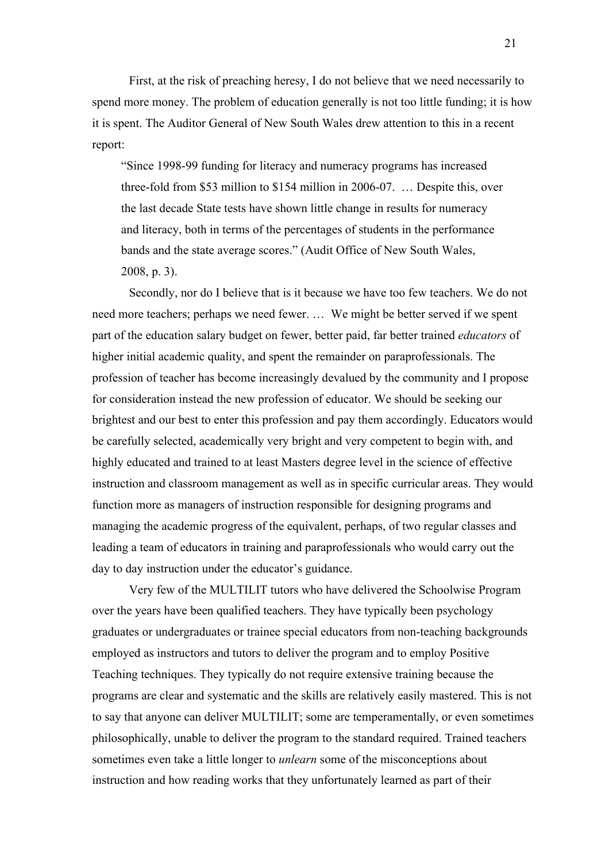First, at the risk of preaching heresy, I do not believe that we need necessarily to spend more money. The problem of education generally is not too little funding; it is how it is spent. The Auditor General of New South Wales drew attention to this in a recent report:

"Since 1998-99 funding for literacy and numeracy programs has increased three-fold from \$53 million to \$154 million in 2006-07. … Despite this, over the last decade State tests have shown little change in results for numeracy and literacy, both in terms of the percentages of students in the performance bands and the state average scores." (Audit Office of New South Wales, 2008, p. 3).

Secondly, nor do I believe that is it because we have too few teachers. We do not need more teachers; perhaps we need fewer. … We might be better served if we spent part of the education salary budget on fewer, better paid, far better trained *educators* of higher initial academic quality, and spent the remainder on paraprofessionals. The profession of teacher has become increasingly devalued by the community and I propose for consideration instead the new profession of educator. We should be seeking our brightest and our best to enter this profession and pay them accordingly. Educators would be carefully selected, academically very bright and very competent to begin with, and highly educated and trained to at least Masters degree level in the science of effective instruction and classroom management as well as in specific curricular areas. They would function more as managers of instruction responsible for designing programs and managing the academic progress of the equivalent, perhaps, of two regular classes and leading a team of educators in training and paraprofessionals who would carry out the day to day instruction under the educator's guidance.

Very few of the MULTILIT tutors who have delivered the Schoolwise Program over the years have been qualified teachers. They have typically been psychology graduates or undergraduates or trainee special educators from non-teaching backgrounds employed as instructors and tutors to deliver the program and to employ Positive Teaching techniques. They typically do not require extensive training because the programs are clear and systematic and the skills are relatively easily mastered. This is not to say that anyone can deliver MULTILIT; some are temperamentally, or even sometimes philosophically, unable to deliver the program to the standard required. Trained teachers sometimes even take a little longer to *unlearn* some of the misconceptions about instruction and how reading works that they unfortunately learned as part of their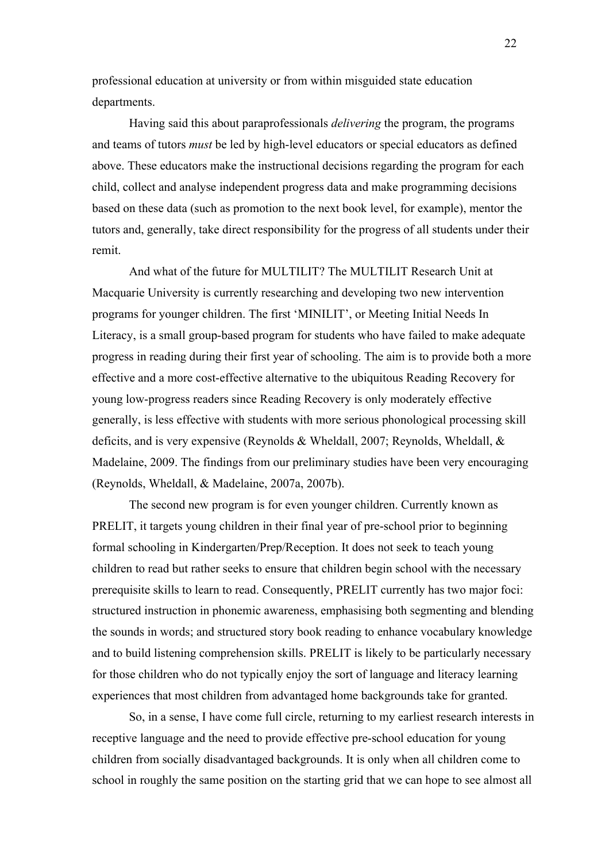professional education at university or from within misguided state education departments.

Having said this about paraprofessionals *delivering* the program, the programs and teams of tutors *must* be led by high-level educators or special educators as defined above. These educators make the instructional decisions regarding the program for each child, collect and analyse independent progress data and make programming decisions based on these data (such as promotion to the next book level, for example), mentor the tutors and, generally, take direct responsibility for the progress of all students under their remit.

And what of the future for MULTILIT? The MULTILIT Research Unit at Macquarie University is currently researching and developing two new intervention programs for younger children. The first 'MINILIT', or Meeting Initial Needs In Literacy, is a small group-based program for students who have failed to make adequate progress in reading during their first year of schooling. The aim is to provide both a more effective and a more cost-effective alternative to the ubiquitous Reading Recovery for young low-progress readers since Reading Recovery is only moderately effective generally, is less effective with students with more serious phonological processing skill deficits, and is very expensive (Reynolds & Wheldall, 2007; Reynolds, Wheldall, & Madelaine, 2009. The findings from our preliminary studies have been very encouraging (Reynolds, Wheldall, & Madelaine, 2007a, 2007b).

The second new program is for even younger children. Currently known as PRELIT, it targets young children in their final year of pre-school prior to beginning formal schooling in Kindergarten/Prep/Reception. It does not seek to teach young children to read but rather seeks to ensure that children begin school with the necessary prerequisite skills to learn to read. Consequently, PRELIT currently has two major foci: structured instruction in phonemic awareness, emphasising both segmenting and blending the sounds in words; and structured story book reading to enhance vocabulary knowledge and to build listening comprehension skills. PRELIT is likely to be particularly necessary for those children who do not typically enjoy the sort of language and literacy learning experiences that most children from advantaged home backgrounds take for granted.

So, in a sense, I have come full circle, returning to my earliest research interests in receptive language and the need to provide effective pre-school education for young children from socially disadvantaged backgrounds. It is only when all children come to school in roughly the same position on the starting grid that we can hope to see almost all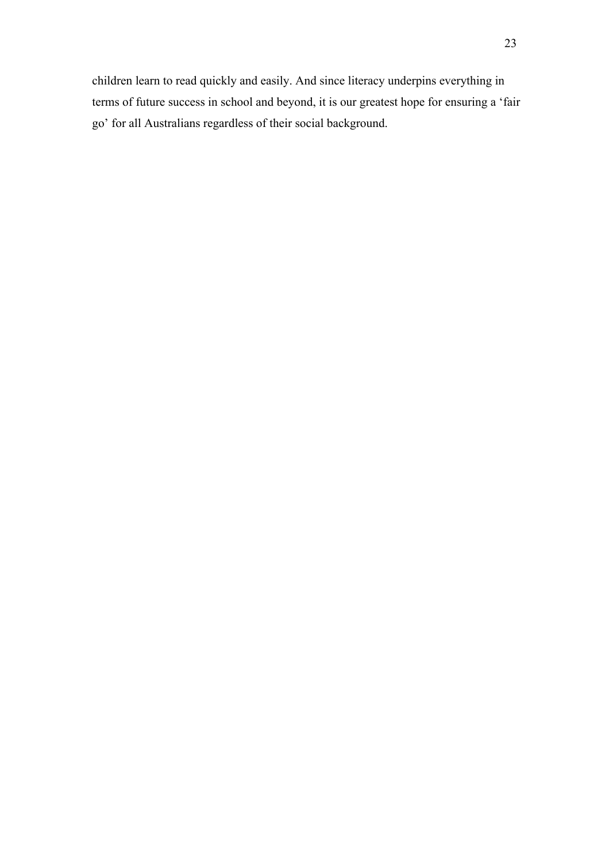children learn to read quickly and easily. And since literacy underpins everything in terms of future success in school and beyond, it is our greatest hope for ensuring a 'fair go' for all Australians regardless of their social background.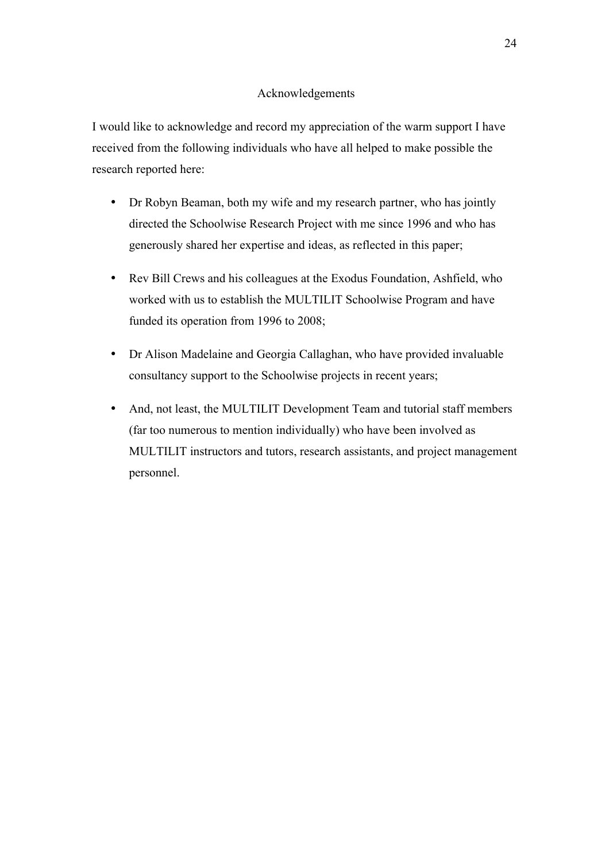## Acknowledgements

I would like to acknowledge and record my appreciation of the warm support I have received from the following individuals who have all helped to make possible the research reported here:

- Dr Robyn Beaman, both my wife and my research partner, who has jointly directed the Schoolwise Research Project with me since 1996 and who has generously shared her expertise and ideas, as reflected in this paper;
- Rev Bill Crews and his colleagues at the Exodus Foundation, Ashfield, who worked with us to establish the MULTILIT Schoolwise Program and have funded its operation from 1996 to 2008;
- Dr Alison Madelaine and Georgia Callaghan, who have provided invaluable consultancy support to the Schoolwise projects in recent years;
- And, not least, the MULTILIT Development Team and tutorial staff members (far too numerous to mention individually) who have been involved as MULTILIT instructors and tutors, research assistants, and project management personnel.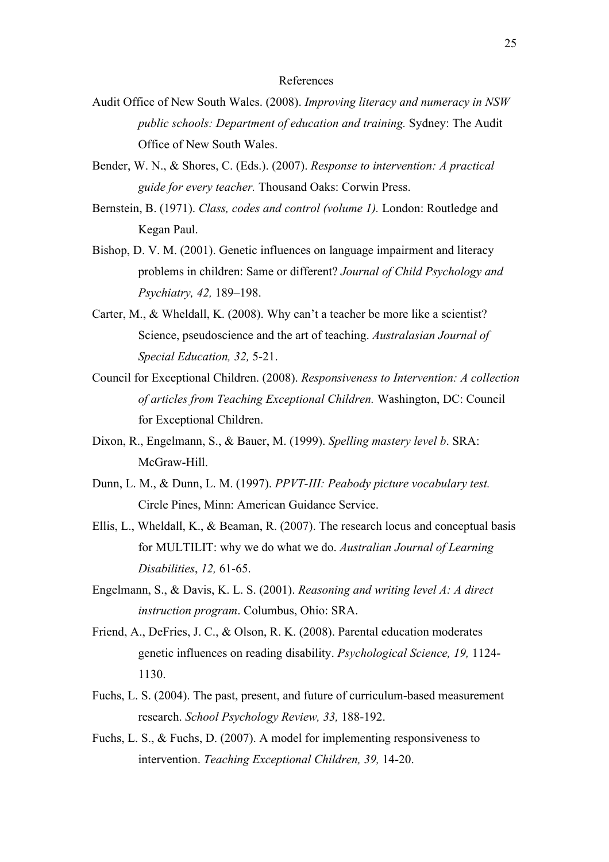## References

- Audit Office of New South Wales. (2008). *Improving literacy and numeracy in NSW public schools: Department of education and training.* Sydney: The Audit Office of New South Wales.
- Bender, W. N., & Shores, C. (Eds.). (2007). *Response to intervention: A practical guide for every teacher.* Thousand Oaks: Corwin Press.
- Bernstein, B. (1971). *Class, codes and control (volume 1).* London: Routledge and Kegan Paul.
- Bishop, D. V. M. (2001). Genetic influences on language impairment and literacy problems in children: Same or different? *Journal of Child Psychology and Psychiatry, 42,* 189–198.
- Carter, M., & Wheldall, K. (2008). Why can't a teacher be more like a scientist? Science, pseudoscience and the art of teaching. *Australasian Journal of Special Education, 32,* 5-21.
- Council for Exceptional Children. (2008). *Responsiveness to Intervention: A collection of articles from Teaching Exceptional Children.* Washington, DC: Council for Exceptional Children.
- Dixon, R., Engelmann, S., & Bauer, M. (1999). *Spelling mastery level b*. SRA: McGraw-Hill.
- Dunn, L. M., & Dunn, L. M. (1997). *PPVT-III: Peabody picture vocabulary test.* Circle Pines, Minn: American Guidance Service.
- Ellis, L., Wheldall, K., & Beaman, R. (2007). The research locus and conceptual basis for MULTILIT: why we do what we do. *Australian Journal of Learning Disabilities*, *12,* 61-65.
- Engelmann, S., & Davis, K. L. S. (2001). *Reasoning and writing level A: A direct instruction program*. Columbus, Ohio: SRA.
- Friend, A., DeFries, J. C., & Olson, R. K. (2008). Parental education moderates genetic influences on reading disability. *Psychological Science, 19,* 1124- 1130.
- Fuchs, L. S. (2004). The past, present, and future of curriculum-based measurement research. *School Psychology Review, 33,* 188-192.
- Fuchs, L. S., & Fuchs, D. (2007). A model for implementing responsiveness to intervention. *Teaching Exceptional Children, 39,* 14-20.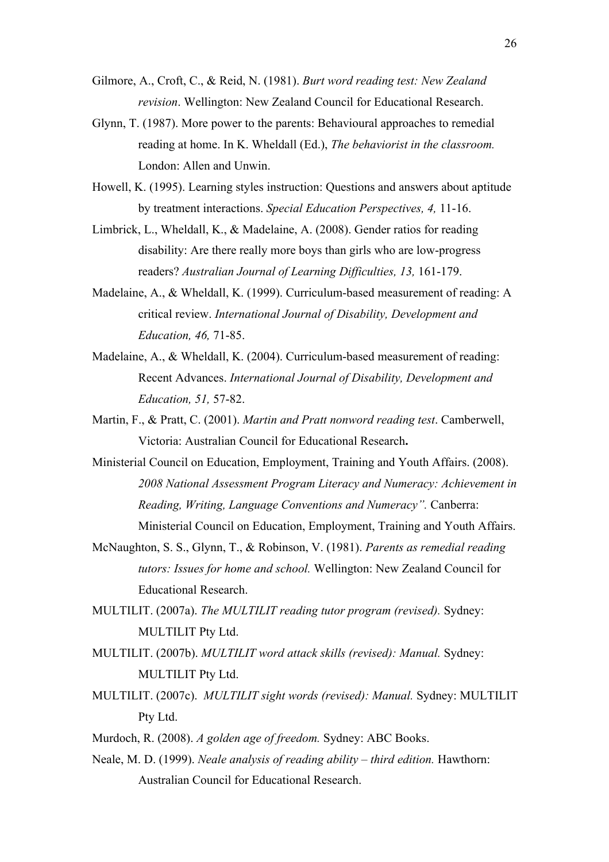- Gilmore, A., Croft, C., & Reid, N. (1981). *Burt word reading test: New Zealand revision*. Wellington: New Zealand Council for Educational Research.
- Glynn, T. (1987). More power to the parents: Behavioural approaches to remedial reading at home. In K. Wheldall (Ed.), *The behaviorist in the classroom.*  London: Allen and Unwin.
- Howell, K. (1995). Learning styles instruction: Questions and answers about aptitude by treatment interactions. *Special Education Perspectives, 4,* 11-16.
- Limbrick, L., Wheldall, K., & Madelaine, A. (2008). Gender ratios for reading disability: Are there really more boys than girls who are low-progress readers? *Australian Journal of Learning Difficulties, 13,* 161-179.
- Madelaine, A., & Wheldall, K. (1999). Curriculum-based measurement of reading: A critical review. *International Journal of Disability, Development and Education, 46,* 71-85.
- Madelaine, A., & Wheldall, K. (2004). Curriculum-based measurement of reading: Recent Advances. *International Journal of Disability, Development and Education, 51,* 57-82.
- Martin, F., & Pratt, C. (2001). *Martin and Pratt nonword reading test*. Camberwell, Victoria: Australian Council for Educational Research**.**
- Ministerial Council on Education, Employment, Training and Youth Affairs. (2008). *2008 National Assessment Program Literacy and Numeracy: Achievement in Reading, Writing, Language Conventions and Numeracy".* Canberra: Ministerial Council on Education, Employment, Training and Youth Affairs.
- McNaughton, S. S., Glynn, T., & Robinson, V. (1981). *Parents as remedial reading tutors: Issues for home and school.* Wellington: New Zealand Council for Educational Research.
- MULTILIT. (2007a). *The MULTILIT reading tutor program (revised).* Sydney: MULTILIT Pty Ltd.
- MULTILIT. (2007b). *MULTILIT word attack skills (revised): Manual.* Sydney: MULTILIT Pty Ltd.
- MULTILIT. (2007c). *MULTILIT sight words (revised): Manual.* Sydney: MULTILIT Pty Ltd.
- Murdoch, R. (2008). *A golden age of freedom.* Sydney: ABC Books.
- Neale, M. D. (1999). *Neale analysis of reading ability third edition.* Hawthorn: Australian Council for Educational Research.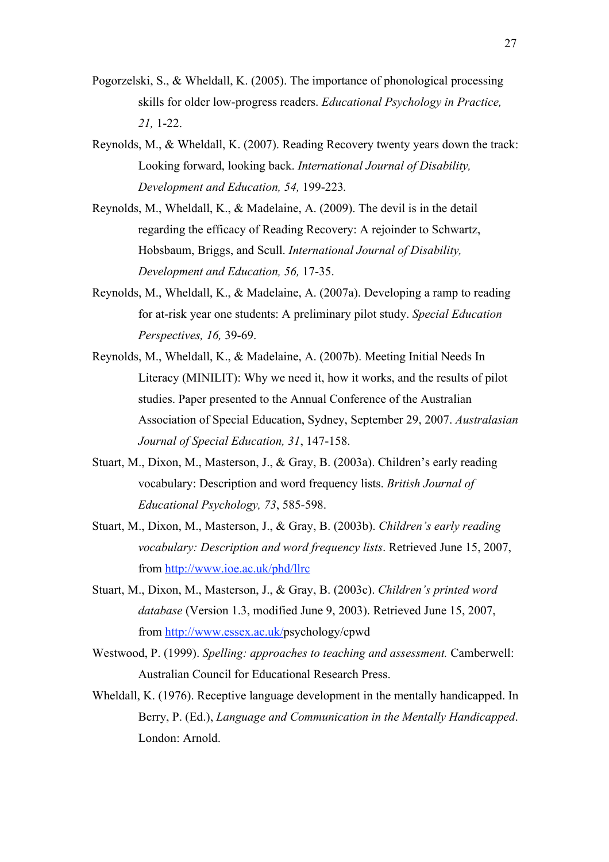- Pogorzelski, S., & Wheldall, K. (2005). The importance of phonological processing skills for older low-progress readers. *Educational Psychology in Practice, 21,* 1-22.
- Reynolds, M., & Wheldall, K. (2007). Reading Recovery twenty years down the track: Looking forward, looking back. *International Journal of Disability, Development and Education, 54,* 199-223*.*
- Reynolds, M., Wheldall, K., & Madelaine, A. (2009). The devil is in the detail regarding the efficacy of Reading Recovery: A rejoinder to Schwartz, Hobsbaum, Briggs, and Scull. *International Journal of Disability, Development and Education, 56,* 17-35.
- Reynolds, M., Wheldall, K., & Madelaine, A. (2007a). Developing a ramp to reading for at-risk year one students: A preliminary pilot study. *Special Education Perspectives, 16,* 39-69.
- Reynolds, M., Wheldall, K., & Madelaine, A. (2007b). Meeting Initial Needs In Literacy (MINILIT): Why we need it, how it works, and the results of pilot studies. Paper presented to the Annual Conference of the Australian Association of Special Education, Sydney, September 29, 2007. *Australasian Journal of Special Education, 31*, 147-158.
- Stuart, M., Dixon, M., Masterson, J., & Gray, B. (2003a). Children's early reading vocabulary: Description and word frequency lists. *British Journal of Educational Psychology, 73*, 585-598.
- Stuart, M., Dixon, M., Masterson, J., & Gray, B. (2003b). *Children's early reading vocabulary: Description and word frequency lists*. Retrieved June 15, 2007, from http://www.ioe.ac.uk/phd/llrc
- Stuart, M., Dixon, M., Masterson, J., & Gray, B. (2003c). *Children's printed word database* (Version 1.3, modified June 9, 2003). Retrieved June 15, 2007, from http://www.essex.ac.uk/psychology/cpwd
- Westwood, P. (1999). *Spelling: approaches to teaching and assessment.* Camberwell: Australian Council for Educational Research Press.
- Wheldall, K. (1976). Receptive language development in the mentally handicapped. In Berry, P. (Ed.), *Language and Communication in the Mentally Handicapped*. London: Arnold.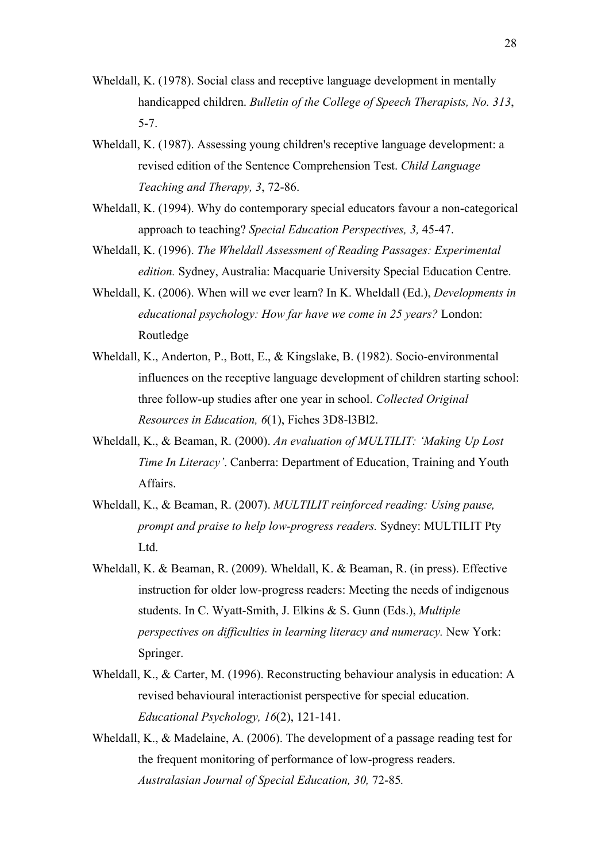- Wheldall, K. (1978). Social class and receptive language development in mentally handicapped children. *Bulletin of the College of Speech Therapists, No. 313*, 5-7.
- Wheldall, K. (1987). Assessing young children's receptive language development: a revised edition of the Sentence Comprehension Test. *Child Language Teaching and Therapy, 3*, 72-86.
- Wheldall, K. (1994). Why do contemporary special educators favour a non-categorical approach to teaching? *Special Education Perspectives, 3,* 45-47.
- Wheldall, K. (1996). *The Wheldall Assessment of Reading Passages: Experimental edition.* Sydney, Australia: Macquarie University Special Education Centre.
- Wheldall, K. (2006). When will we ever learn? In K. Wheldall (Ed.), *Developments in educational psychology: How far have we come in 25 years?* London: Routledge
- Wheldall, K., Anderton, P., Bott, E., & Kingslake, B. (1982). Socio-environmental influences on the receptive language development of children starting school: three follow-up studies after one year in school. *Collected Original Resources in Education, 6*(1), Fiches 3D8-l3Bl2.
- Wheldall, K., & Beaman, R. (2000). *An evaluation of MULTILIT: 'Making Up Lost Time In Literacy'*. Canberra: Department of Education, Training and Youth Affairs.
- Wheldall, K., & Beaman, R. (2007). *MULTILIT reinforced reading: Using pause, prompt and praise to help low-progress readers.* Sydney: MULTILIT Pty Ltd.
- Wheldall, K. & Beaman, R. (2009). Wheldall, K. & Beaman, R. (in press). Effective instruction for older low-progress readers: Meeting the needs of indigenous students. In C. Wyatt-Smith, J. Elkins & S. Gunn (Eds.), *Multiple perspectives on difficulties in learning literacy and numeracy.* New York: Springer.
- Wheldall, K., & Carter, M. (1996). Reconstructing behaviour analysis in education: A revised behavioural interactionist perspective for special education. *Educational Psychology, 16*(2), 121-141.
- Wheldall, K., & Madelaine, A. (2006). The development of a passage reading test for the frequent monitoring of performance of low-progress readers. *Australasian Journal of Special Education, 30,* 72-85*.*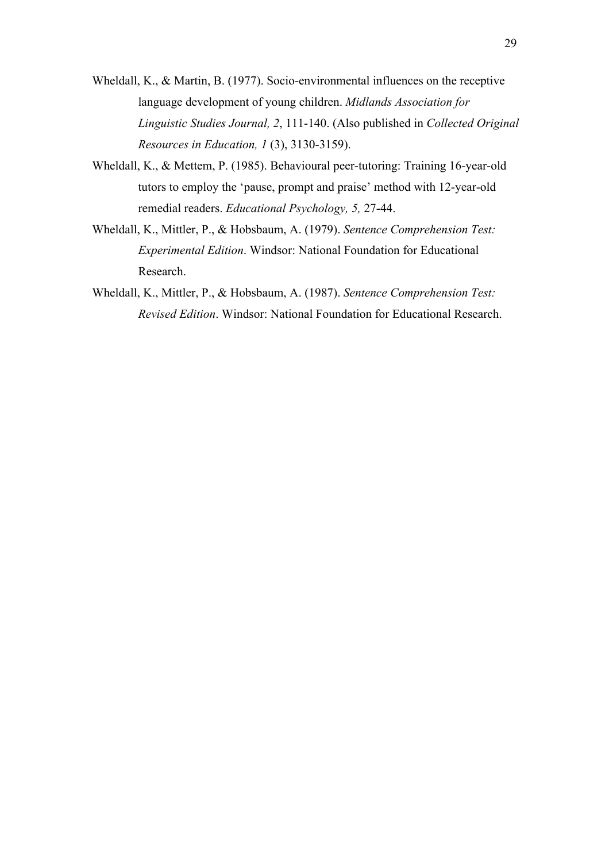- Wheldall, K., & Martin, B. (1977). Socio-environmental influences on the receptive language development of young children. *Midlands Association for Linguistic Studies Journal, 2*, 111-140. (Also published in *Collected Original Resources in Education, 1* (3), 3130-3159).
- Wheldall, K., & Mettem, P. (1985). Behavioural peer-tutoring: Training 16-year-old tutors to employ the 'pause, prompt and praise' method with 12-year-old remedial readers. *Educational Psychology, 5,* 27-44.
- Wheldall, K., Mittler, P., & Hobsbaum, A. (1979). *Sentence Comprehension Test: Experimental Edition*. Windsor: National Foundation for Educational Research.
- Wheldall, K., Mittler, P., & Hobsbaum, A. (1987). *Sentence Comprehension Test: Revised Edition*. Windsor: National Foundation for Educational Research.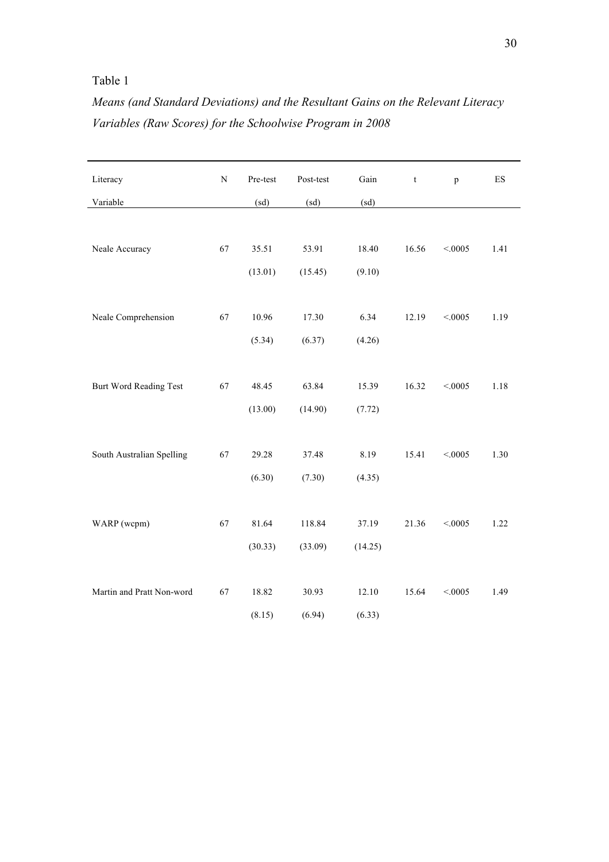## Table 1

# *Means (and Standard Deviations) and the Resultant Gains on the Relevant Literacy Variables (Raw Scores) for the Schoolwise Program in 2008*

| Literacy                  | ${\bf N}$ | Pre-test         | Post-test         | Gain             | $\ensuremath{\mathbf{t}}$ | p        | ES   |
|---------------------------|-----------|------------------|-------------------|------------------|---------------------------|----------|------|
| Variable                  |           | (sd)             | (sd)              | (sd)             |                           |          |      |
| Neale Accuracy            | 67        | 35.51<br>(13.01) | 53.91<br>(15.45)  | 18.40<br>(9.10)  | 16.56                     | < 0.0005 | 1.41 |
| Neale Comprehension       | 67        | 10.96<br>(5.34)  | 17.30<br>(6.37)   | 6.34<br>(4.26)   | 12.19                     | < 0.0005 | 1.19 |
| Burt Word Reading Test    | 67        | 48.45<br>(13.00) | 63.84<br>(14.90)  | 15.39<br>(7.72)  | 16.32                     | < 0.0005 | 1.18 |
| South Australian Spelling | 67        | 29.28<br>(6.30)  | 37.48<br>(7.30)   | 8.19<br>(4.35)   | 15.41                     | < 0.0005 | 1.30 |
| WARP (wcpm)               | 67        | 81.64<br>(30.33) | 118.84<br>(33.09) | 37.19<br>(14.25) | 21.36                     | < 0.0005 | 1.22 |
| Martin and Pratt Non-word | 67        | 18.82<br>(8.15)  | 30.93<br>(6.94)   | 12.10<br>(6.33)  | 15.64                     | < 0.0005 | 1.49 |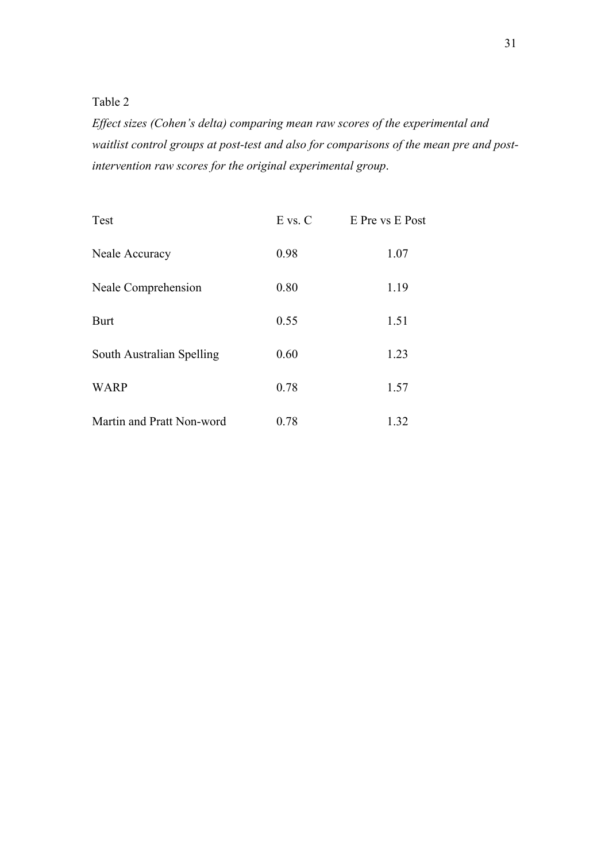Table 2

*Effect sizes (Cohen's delta) comparing mean raw scores of the experimental and waitlist control groups at post-test and also for comparisons of the mean pre and postintervention raw scores for the original experimental group*.

| Test                      | $E$ vs. $C$ | E Pre vs E Post |
|---------------------------|-------------|-----------------|
| Neale Accuracy            | 0.98        | 1.07            |
| Neale Comprehension       | 0.80        | 1.19            |
| <b>Burt</b>               | 0.55        | 1.51            |
| South Australian Spelling | 0.60        | 1.23            |
| <b>WARP</b>               | 0.78        | 1.57            |
| Martin and Pratt Non-word | 0.78        | 1.32            |